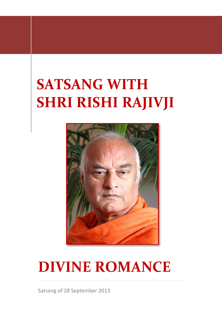## **SATSANG WITH SHRI RISHI RAJIVJI**



# **DIVINE ROMANCE**

Satsang of 28 September 2013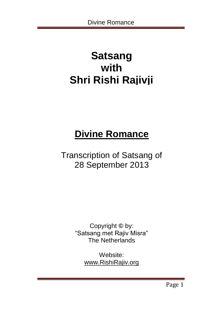## **Satsang with Shri Rishi Rajivji**

### **Divine Romance**

### Transcription of Satsang of 28 September 2013

Copyright **©** by: "Satsang met Rajiv Misra" The Netherlands

> Website: [www.RishiRajiv.org](http://www.rishirajiv.org/)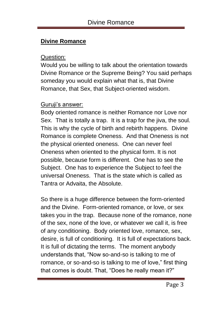#### Question:

Would you be willing to talk about the orientation towards Divine Romance or the Supreme Being? You said perhaps someday you would explain what that is, that Divine Romance, that Sex, that Subject-oriented wisdom.

#### Guruji's answer:

Body oriented romance is neither Romance nor Love nor Sex. That is totally a trap. It is a trap for the jiva, the soul. This is why the cycle of birth and rebirth happens. Divine Romance is complete Oneness. And that Oneness is not the physical oriented oneness. One can never feel Oneness when oriented to the physical form. It is not possible, because form is different. One has to see the Subject. One has to experience the Subject to feel the universal Oneness. That is the state which is called as Tantra or Advaita, the Absolute.

So there is a huge difference between the form-oriented and the Divine. Form-oriented romance, or love, or sex takes you in the trap. Because none of the romance, none of the sex, none of the love, or whatever we call it, is free of any conditioning. Body oriented love, romance, sex, desire, is full of conditioning. It is full of expectations back. It is full of dictating the terms. The moment anybody understands that, "Now so-and-so is talking to me of romance, or so-and-so is talking to me of love," first thing that comes is doubt. That, "Does he really mean it?"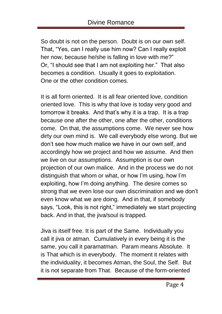So doubt is not on the person. Doubt is on our own self. That, "Yes, can I really use him now? Can I really exploit her now, because he/she is falling in love with me?" Or, "I should see that I am not exploiting her." That also becomes a condition. Usually it goes to exploitation. One or the other condition comes.

It is all form oriented. It is all fear oriented love, condition oriented love. This is why that love is today very good and tomorrow it breaks. And that's why it is a trap. It is a trap because one after the other, one after the other, conditions come. On that, the assumptions come. We never see how dirty our own mind is. We call everybody else wrong. But we don't see how much malice we have in our own self, and accordingly how we project and how we assume. And then we live on our assumptions. Assumption is our own projection of our own malice. And in the process we do not distinguish that whom or what, or how I'm using, how I'm exploiting, how I'm doing anything. The desire comes so strong that we even lose our own discrimination and we don't even know what we are doing. And in that, if somebody says, "Look, this is not right," immediately we start projecting back. And in that, the jiva/soul is trapped.

Jiva is itself free. It is part of the Same. Individually you call it jiva or atman. Cumulatively in every being it is the same, you call it paramatman. Param means Absolute. It is That which is in everybody. The moment it relates with the individuality, it becomes Atman, the Soul, the Self. But it is not separate from That. Because of the form-oriented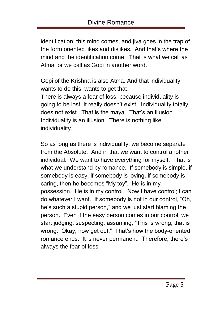identification, this mind comes, and jiva goes in the trap of the form oriented likes and dislikes. And that's where the mind and the identification come. That is what we call as Atma, or we call as Gopi in another word.

Gopi of the Krishna is also Atma. And that individuality wants to do this, wants to get that.

There is always a fear of loss, because individuality is going to be lost. It really doesn't exist. Individuality totally does not exist. That is the maya. That's an illusion. Individuality is an illusion. There is nothing like individuality.

So as long as there is individuality, we become separate from the Absolute. And in that we want to control another individual. We want to have everything for myself. That is what we understand by romance. If somebody is simple, if somebody is easy, if somebody is loving, if somebody is caring, then he becomes "My toy". He is in my possession. He is in my control. Now I have control; I can do whatever I want. If somebody is not in our control, "Oh, he's such a stupid person," and we just start blaming the person. Even if the easy person comes in our control, we start judging, suspecting, assuming, "This is wrong, that is wrong. Okay, now get out." That's how the body-oriented romance ends. It is never permanent. Therefore, there's always the fear of loss.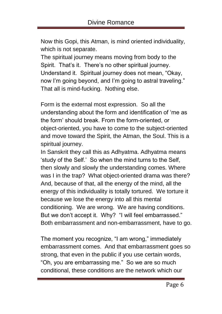Now this Gopi, this Atman, is mind oriented individuality, which is not separate.

The spiritual journey means moving from body to the Spirit. That's it. There's no other spiritual journey. Understand it. Spiritual journey does not mean, "Okay, now I'm going beyond, and I'm going to astral traveling." That all is mind-fucking. Nothing else.

Form is the external most expression. So all the understanding about the form and identification of 'me as the form' should break. From the form-oriented, or object-oriented, you have to come to the subject-oriented and move toward the Spirit, the Atman, the Soul. This is a spiritual journey.

In Sanskrit they call this as Adhyatma. Adhyatma means 'study of the Self.' So when the mind turns to the Self, then slowly and slowly the understanding comes. Where was I in the trap? What object-oriented drama was there? And, because of that, all the energy of the mind, all the energy of this individuality is totally tortured. We torture it because we lose the energy into all this mental conditioning. We are wrong. We are having conditions. But we don't accept it. Why? "I will feel embarrassed." Both embarrassment and non-embarrassment, have to go.

The moment you recognize, "I am wrong," immediately embarrassment comes. And that embarrassment goes so strong, that even in the public if you use certain words, "Oh, you are embarrassing me." So we are so much conditional, these conditions are the network which our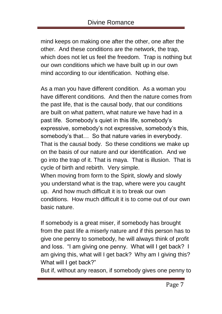mind keeps on making one after the other, one after the other. And these conditions are the network, the trap, which does not let us feel the freedom. Trap is nothing but our own conditions which we have built up in our own mind according to our identification. Nothing else.

As a man you have different condition. As a woman you have different conditions. And then the nature comes from the past life, that is the causal body, that our conditions are built on what pattern, what nature we have had in a past life. Somebody's quiet in this life, somebody's expressive, somebody's not expressive, somebody's this, somebody's that… So that nature varies in everybody. That is the causal body. So these conditions we make up on the basis of our nature and our identification. And we go into the trap of it. That is maya. That is illusion. That is cycle of birth and rebirth. Very simple.

When moving from form to the Spirit, slowly and slowly you understand what is the trap, where were you caught up. And how much difficult it is to break our own conditions. How much difficult it is to come out of our own basic nature.

If somebody is a great miser, if somebody has brought from the past life a miserly nature and if this person has to give one penny to somebody, he will always think of profit and loss. "I am giving one penny. What will I get back? I am giving this, what will I get back? Why am I giving this? What will I get back?"

But if, without any reason, if somebody gives one penny to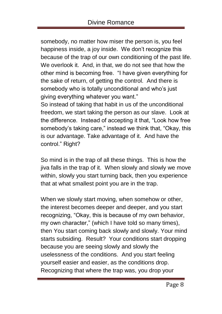somebody, no matter how miser the person is, you feel happiness inside, a joy inside. We don't recognize this because of the trap of our own conditioning of the past life. We overlook it. And, in that, we do not see that how the other mind is becoming free. "I have given everything for the sake of return, of getting the control. And there is somebody who is totally unconditional and who's just giving everything whatever you want."

So instead of taking that habit in us of the unconditional freedom, we start taking the person as our slave. Look at the difference. Instead of accepting it that, "Look how free somebody's taking care," instead we think that, "Okay, this is our advantage. Take advantage of it. And have the control." Right?

So mind is in the trap of all these things. This is how the jiva falls in the trap of it. When slowly and slowly we move within, slowly you start turning back, then you experience that at what smallest point you are in the trap.

When we slowly start moving, when somehow or other, the interest becomes deeper and deeper, and you start recognizing, "Okay, this is because of my own behavior, my own character," (which I have told so many times), then You start coming back slowly and slowly. Your mind starts subsiding. Result? Your conditions start dropping because you are seeing slowly and slowly the uselessness of the conditions. And you start feeling yourself easier and easier, as the conditions drop. Recognizing that where the trap was, you drop your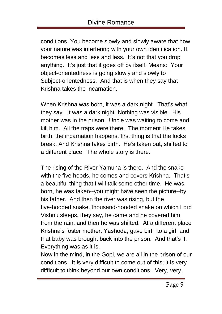conditions. You become slowly and slowly aware that how your nature was interfering with your own identification. It becomes less and less and less. It's not that you drop anything. It's just that it goes off by itself. Means: Your object-orientedness is going slowly and slowly to Subject-orientedness. And that is when they say that Krishna takes the incarnation.

When Krishna was born, it was a dark night. That's what they say. It was a dark night. Nothing was visible. His mother was in the prison. Uncle was waiting to come and kill him. All the traps were there. The moment He takes birth, the incarnation happens, first thing is that the locks break. And Krishna takes birth. He's taken out, shifted to a different place. The whole story is there.

The rising of the River Yamuna is there. And the snake with the five hoods, he comes and covers Krishna. That's a beautiful thing that I will talk some other time. He was born, he was taken--you might have seen the picture--by his father. And then the river was rising, but the five-hooded snake, thousand-hooded snake on which Lord Vishnu sleeps, they say, he came and he covered him from the rain, and then he was shifted. At a different place Krishna's foster mother, Yashoda, gave birth to a girl, and that baby was brought back into the prison. And that's it. Everything was as it is.

Now in the mind, in the Gopi, we are all in the prison of our conditions. It is very difficult to come out of this; it is very difficult to think beyond our own conditions. Very, very,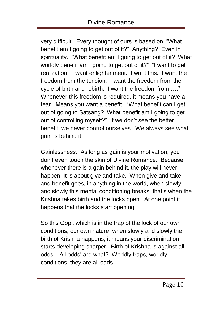very difficult. Every thought of ours is based on, "What benefit am I going to get out of it?" Anything? Even in spirituality. "What benefit am I going to get out of it? What worldly benefit am I going to get out of it?" "I want to get realization. I want enlightenment. I want this. I want the freedom from the tension. I want the freedom from the cycle of birth and rebirth. I want the freedom from …." Whenever this freedom is required, it means you have a fear. Means you want a benefit. "What benefit can I get out of going to Satsang? What benefit am I going to get out of controlling myself?" If we don't see the better benefit, we never control ourselves. We always see what gain is behind it.

Gainlessness. As long as gain is your motivation, you don't even touch the skin of Divine Romance. Because whenever there is a gain behind it, the play will never happen. It is about give and take. When give and take and benefit goes, in anything in the world, when slowly and slowly this mental conditioning breaks, that's when the Krishna takes birth and the locks open. At one point it happens that the locks start opening.

So this Gopi, which is in the trap of the lock of our own conditions, our own nature, when slowly and slowly the birth of Krishna happens, it means your discrimination starts developing sharper. Birth of Krishna is against all odds. 'All odds' are what? Worldly traps, worldly conditions, they are all odds.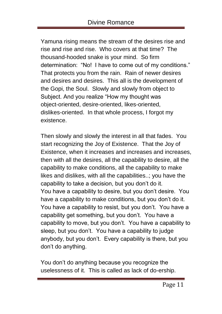Yamuna rising means the stream of the desires rise and rise and rise and rise. Who covers at that time? The thousand-hooded snake is your mind. So firm determination: "No! I have to come out of my conditions." That protects you from the rain. Rain of newer desires and desires and desires. This all is the development of the Gopi, the Soul. Slowly and slowly from object to Subject. And you realize "How my thought was object-oriented, desire-oriented, likes-oriented, dislikes-oriented. In that whole process, I forgot my existence.

Then slowly and slowly the interest in all that fades. You start recognizing the Joy of Existence. That the Joy of Existence, when it increases and increases and increases, then with all the desires, all the capability to desire, all the capability to make conditions, all the capability to make likes and dislikes, with all the capabilities..; you have the capability to take a decision, but you don't do it. You have a capability to desire, but you don't desire. You have a capability to make conditions, but you don't do it. You have a capability to resist, but you don't. You have a capability get something, but you don't. You have a capability to move, but you don't. You have a capability to sleep, but you don't. You have a capability to judge anybody, but you don't. Every capability is there, but you don't do anything.

You don't do anything because you recognize the uselessness of it. This is called as lack of do-ership.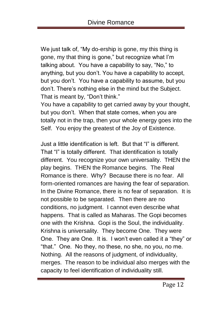We just talk of, "My do-ership is gone, my this thing is gone, my that thing is gone," but recognize what I'm talking about. You have a capability to say, "No," to anything, but you don't. You have a capability to accept, but you don't. You have a capability to assume, but you don't. There's nothing else in the mind but the Subject. That is meant by, "Don't think."

You have a capability to get carried away by your thought, but you don't. When that state comes, when you are totally not in the trap, then your whole energy goes into the Self. You enjoy the greatest of the Joy of Existence.

Just a little identification is left. But that "I" is different. That "I" is totally different. That identification is totally different. You recognize your own universality. THEN the play begins. THEN the Romance begins. The Real Romance is there. Why? Because there is no fear. All form-oriented romances are having the fear of separation. In the Divine Romance, there is no fear of separation. It is not possible to be separated. Then there are no conditions, no judgment. I cannot even describe what happens. That is called as Maharas. The Gopi becomes one with the Krishna. Gopi is the Soul, the individuality. Krishna is universality. They become One. They were One. They are One. It is. I won't even called it a "they" or "that." One. No they, no these, no she, no you, no me. Nothing. All the reasons of judgment, of individuality, merges. The reason to be individual also merges with the capacity to feel identification of individuality still.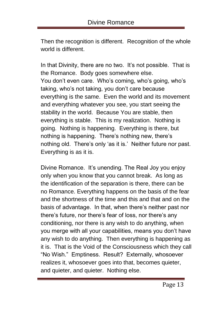Then the recognition is different. Recognition of the whole world is different.

In that Divinity, there are no two. It's not possible. That is the Romance. Body goes somewhere else. You don't even care. Who's coming, who's going, who's taking, who's not taking, you don't care because everything is the same. Even the world and its movement and everything whatever you see, you start seeing the stability in the world. Because You are stable, then everything is stable. This is my realization. Nothing is going. Nothing is happening. Everything is there, but nothing is happening. There's nothing new, there's nothing old. There's only 'as it is.' Neither future nor past. Everything is as it is.

Divine Romance. It's unending. The Real Joy you enjoy only when you know that you cannot break. As long as the identification of the separation is there, there can be no Romance. Everything happens on the basis of the fear and the shortness of the time and this and that and on the basis of advantage. In that, when there's neither past nor there's future, nor there's fear of loss, nor there's any conditioning, nor there is any wish to do anything, when you merge with all your capabilities, means you don't have any wish to do anything. Then everything is happening as it is. That is the Void of the Consciousness which they call "No Wish." Emptiness. Result? Externally, whosoever realizes it, whosoever goes into that, becomes quieter, and quieter, and quieter. Nothing else.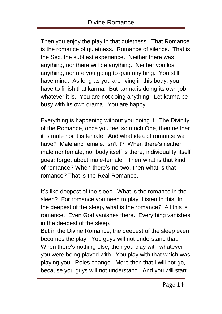Then you enjoy the play in that quietness. That Romance is the romance of quietness. Romance of silence. That is the Sex, the subtlest experience. Neither there was anything, nor there will be anything. Neither you lost anything, nor are you going to gain anything. You still have mind. As long as you are living in this body, you have to finish that karma. But karma is doing its own job, whatever it is. You are not doing anything. Let karma be busy with its own drama. You are happy.

Everything is happening without you doing it. The Divinity of the Romance, once you feel so much One, then neither it is male nor it is female. And what idea of romance we have? Male and female. Isn't it? When there's neither male nor female, nor body itself is there, individuality itself goes; forget about male-female. Then what is that kind of romance? When there's no two, then what is that romance? That is the Real Romance.

It's like deepest of the sleep. What is the romance in the sleep? For romance you need to play. Listen to this. In the deepest of the sleep, what is the romance? All this is romance. Even God vanishes there. Everything vanishes in the deepest of the sleep.

But in the Divine Romance, the deepest of the sleep even becomes the play. You guys will not understand that. When there's nothing else, then you play with whatever you were being played with. You play with that which was playing you. Roles change. More then that I will not go, because you guys will not understand. And you will start